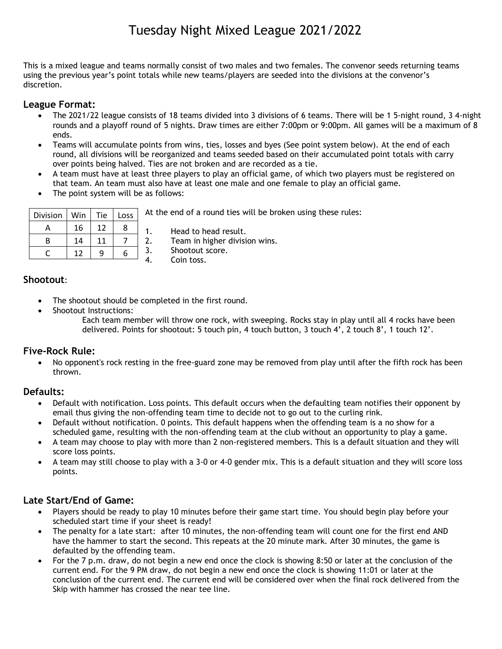# Tuesday Night Mixed League 2021/2022

This is a mixed league and teams normally consist of two males and two females. The convenor seeds returning teams using the previous year's point totals while new teams/players are seeded into the divisions at the convenor's discretion.

## **League Format:**

- The 2021/22 league consists of 18 teams divided into 3 divisions of 6 teams. There will be 1 5-night round, 3 4-night rounds and a playoff round of 5 nights. Draw times are either 7:00pm or 9:00pm. All games will be a maximum of 8 ends.
- Teams will accumulate points from wins, ties, losses and byes (See point system below). At the end of each round, all divisions will be reorganized and teams seeded based on their accumulated point totals with carry over points being halved. Ties are not broken and are recorded as a tie.
- A team must have at least three players to play an official game, of which two players must be registered on that team. An team must also have at least one male and one female to play an official game.
- The point system will be as follows:

| Division | Win | Tie | Loss |
|----------|-----|-----|------|
| А        | 16  | 12  | ጸ    |
| R        | 14  | 11  |      |
|          | 12  | a   |      |

At the end of a round ties will be broken using these rules:

1. Head to head result.

2. Team in higher division wins.

3. Shootout score.

4. Coin toss.

## **Shootout**:

- The shootout should be completed in the first round.
- Shootout Instructions:
	- Each team member will throw one rock, with sweeping. Rocks stay in play until all 4 rocks have been delivered. Points for shootout: 5 touch pin, 4 touch button, 3 touch 4', 2 touch 8', 1 touch 12'.

## **Five-Rock Rule:**

 No opponent's rock resting in the free-guard zone may be removed from play until after the fifth rock has been thrown.

## **Defaults:**

- Default with notification. Loss points. This default occurs when the defaulting team notifies their opponent by email thus giving the non-offending team time to decide not to go out to the curling rink.
- Default without notification. 0 points. This default happens when the offending team is a no show for a scheduled game, resulting with the non-offending team at the club without an opportunity to play a game.
- A team may choose to play with more than 2 non-registered members. This is a default situation and they will score loss points.
- A team may still choose to play with a 3-0 or 4-0 gender mix. This is a default situation and they will score loss points.

## **Late Start/End of Game:**

- Players should be ready to play 10 minutes before their game start time. You should begin play before your scheduled start time if your sheet is ready!
- The penalty for a late start: after 10 minutes, the non-offending team will count one for the first end AND have the hammer to start the second. This repeats at the 20 minute mark. After 30 minutes, the game is defaulted by the offending team.
- For the 7 p.m. draw, do not begin a new end once the clock is showing 8:50 or later at the conclusion of the current end. For the 9 PM draw, do not begin a new end once the clock is showing 11:01 or later at the conclusion of the current end. The current end will be considered over when the final rock delivered from the Skip with hammer has crossed the near tee line.